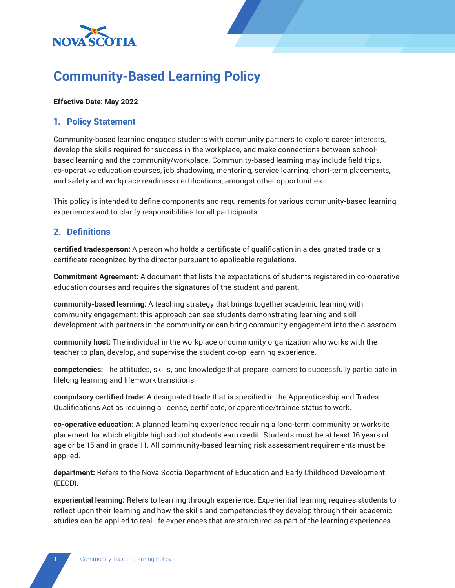

# **Community-Based Learning Policy**

### **Effective Date: May 2022**

### **1. Policy Statement**

Community-based learning engages students with community partners to explore career interests, develop the skills required for success in the workplace, and make connections between schoolbased learning and the community/workplace. Community-based learning may include field trips, co-operative education courses, job shadowing, mentoring, service learning, short-term placements, and safety and workplace readiness certifications, amongst other opportunities.

This policy is intended to define components and requirements for various community-based learning experiences and to clarify responsibilities for all participants.

### **2. Definitions**

**certified tradesperson:** A person who holds a certificate of qualification in a designated trade or a certificate recognized by the director pursuant to applicable regulations.

**Commitment Agreement:** A document that lists the expectations of students registered in co-operative education courses and requires the signatures of the student and parent.

**community-based learning:** A teaching strategy that brings together academic learning with community engagement; this approach can see students demonstrating learning and skill development with partners in the community or can bring community engagement into the classroom.

**community host:** The individual in the workplace or community organization who works with the teacher to plan, develop, and supervise the student co-op learning experience.

**competencies:** The attitudes, skills, and knowledge that prepare learners to successfully participate in lifelong learning and life–work transitions.

**compulsory certified trade:** A designated trade that is specified in the Apprenticeship and Trades Qualifications Act as requiring a license, certificate, or apprentice/trainee status to work.

**co-operative education:** A planned learning experience requiring a long-term community or worksite placement for which eligible high school students earn credit. Students must be at least 16 years of age or be 15 and in grade 11. All community-based learning risk assessment requirements must be applied.

**department:** Refers to the Nova Scotia Department of Education and Early Childhood Development (EECD).

**experiential learning:** Refers to learning through experience. Experiential learning requires students to reflect upon their learning and how the skills and competencies they develop through their academic studies can be applied to real life experiences that are structured as part of the learning experiences.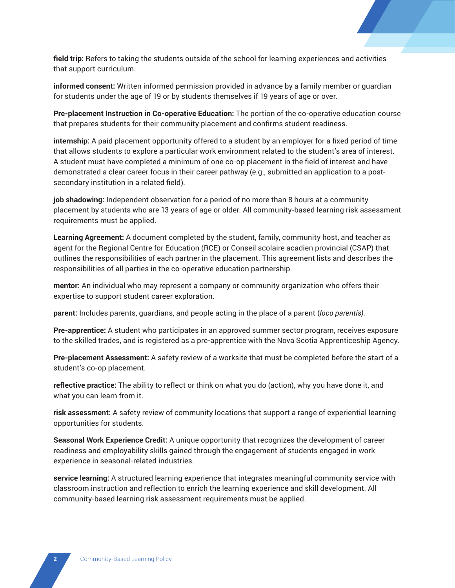**field trip:** Refers to taking the students outside of the school for learning experiences and activities that support curriculum.

**informed consent:** Written informed permission provided in advance by a family member or guardian for students under the age of 19 or by students themselves if 19 years of age or over.

**Pre-placement Instruction in Co-operative Education:** The portion of the co-operative education course that prepares students for their community placement and confirms student readiness.

**internship:** A paid placement opportunity offered to a student by an employer for a fixed period of time that allows students to explore a particular work environment related to the student's area of interest. A student must have completed a minimum of one co-op placement in the field of interest and have demonstrated a clear career focus in their career pathway (e.g., submitted an application to a postsecondary institution in a related field).

**job shadowing:** Independent observation for a period of no more than 8 hours at a community placement by students who are 13 years of age or older. All community-based learning risk assessment requirements must be applied.

**Learning Agreement:** A document completed by the student, family, community host, and teacher as agent for the Regional Centre for Education (RCE) or Conseil scolaire acadien provincial (CSAP) that outlines the responsibilities of each partner in the placement. This agreement lists and describes the responsibilities of all parties in the co-operative education partnership.

**mentor:** An individual who may represent a company or community organization who offers their expertise to support student career exploration.

**parent:** Includes parents, guardians, and people acting in the place of a parent (*loco parentis)*.

**Pre-apprentice:** A student who participates in an approved summer sector program, receives exposure to the skilled trades, and is registered as a pre-apprentice with the Nova Scotia Apprenticeship Agency.

**Pre-placement Assessment:** A safety review of a worksite that must be completed before the start of a student's co-op placement.

**reflective practice:** The ability to reflect or think on what you do (action), why you have done it, and what you can learn from it.

**risk assessment:** A safety review of community locations that support a range of experiential learning opportunities for students.

**Seasonal Work Experience Credit:** A unique opportunity that recognizes the development of career readiness and employability skills gained through the engagement of students engaged in work experience in seasonal-related industries.

**service learning:** A structured learning experience that integrates meaningful community service with classroom instruction and reflection to enrich the learning experience and skill development. All community-based learning risk assessment requirements must be applied.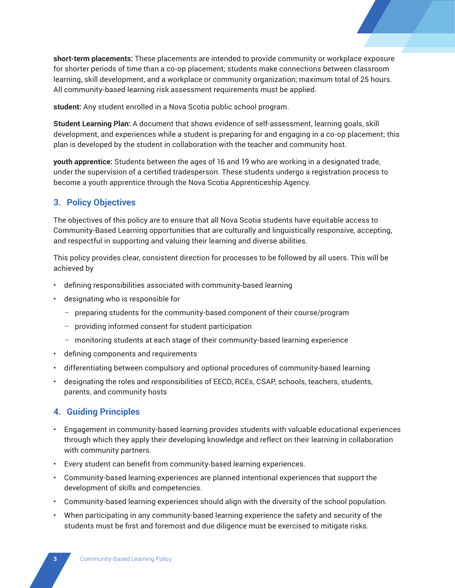

**student:** Any student enrolled in a Nova Scotia public school program.

**Student Learning Plan:** A document that shows evidence of self-assessment, learning goals, skill development, and experiences while a student is preparing for and engaging in a co-op placement; this plan is developed by the student in collaboration with the teacher and community host.

**youth apprentice:** Students between the ages of 16 and 19 who are working in a designated trade, under the supervision of a certified tradesperson. These students undergo a registration process to become a youth apprentice through the Nova Scotia Apprenticeship Agency.

# **3. Policy Objectives**

The objectives of this policy are to ensure that all Nova Scotia students have equitable access to Community-Based Learning opportunities that are culturally and linguistically responsive, accepting, and respectful in supporting and valuing their learning and diverse abilities.

This policy provides clear, consistent direction for processes to be followed by all users. This will be achieved by

- defining responsibilities associated with community-based learning
- designating who is responsible for
	- preparing students for the community-based component of their course/program
	- providing informed consent for student participation
	- monitoring students at each stage of their community-based learning experience
- defining components and requirements
- differentiating between compulsory and optional procedures of community-based learning
- designating the roles and responsibilities of EECD, RCEs, CSAP, schools, teachers, students, parents, and community hosts

### **4. Guiding Principles**

- Engagement in community-based learning provides students with valuable educational experiences through which they apply their developing knowledge and reflect on their learning in collaboration with community partners.
- Every student can benefit from community-based learning experiences.
- Community-based learning experiences are planned intentional experiences that support the development of skills and competencies.
- Community-based learning experiences should align with the diversity of the school population.
- When participating in any community-based learning experience the safety and security of the students must be first and foremost and due diligence must be exercised to mitigate risks.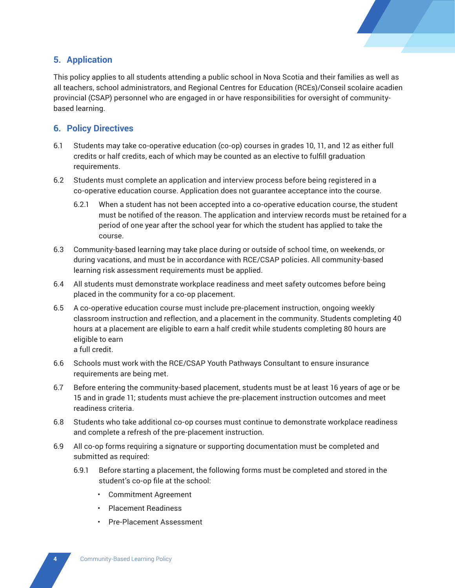

# **5. Application**

This policy applies to all students attending a public school in Nova Scotia and their families as well as all teachers, school administrators, and Regional Centres for Education (RCEs)/Conseil scolaire acadien provincial (CSAP) personnel who are engaged in or have responsibilities for oversight of communitybased learning.

# **6. Policy Directives**

- 6.1 Students may take co-operative education (co-op) courses in grades 10, 11, and 12 as either full credits or half credits, each of which may be counted as an elective to fulfill graduation requirements.
- 6.2 Students must complete an application and interview process before being registered in a co-operative education course. Application does not guarantee acceptance into the course.
	- 6.2.1 When a student has not been accepted into a co-operative education course, the student must be notified of the reason. The application and interview records must be retained for a period of one year after the school year for which the student has applied to take the course.
- 6.3 Community-based learning may take place during or outside of school time, on weekends, or during vacations, and must be in accordance with RCE/CSAP policies. All community-based learning risk assessment requirements must be applied.
- 6.4 All students must demonstrate workplace readiness and meet safety outcomes before being placed in the community for a co-op placement.
- 6.5 A co-operative education course must include pre-placement instruction, ongoing weekly classroom instruction and reflection, and a placement in the community. Students completing 40 hours at a placement are eligible to earn a half credit while students completing 80 hours are eligible to earn

a full credit.

- 6.6 Schools must work with the RCE/CSAP Youth Pathways Consultant to ensure insurance requirements are being met.
- 6.7 Before entering the community-based placement, students must be at least 16 years of age or be 15 and in grade 11; students must achieve the pre-placement instruction outcomes and meet readiness criteria.
- 6.8 Students who take additional co-op courses must continue to demonstrate workplace readiness and complete a refresh of the pre-placement instruction.
- 6.9 All co-op forms requiring a signature or supporting documentation must be completed and submitted as required:
	- 6.9.1 Before starting a placement, the following forms must be completed and stored in the student's co-op file at the school:
		- Commitment Agreement
		- Placement Readiness
		- Pre-Placement Assessment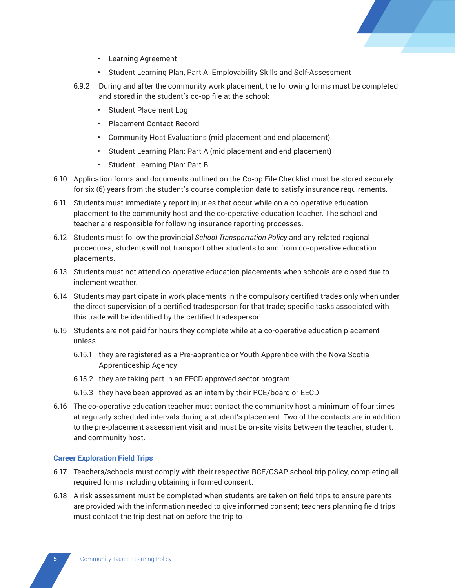

- Learning Agreement
- Student Learning Plan, Part A: Employability Skills and Self-Assessment
- 6.9.2 During and after the community work placement, the following forms must be completed and stored in the student's co-op file at the school:
	- Student Placement Log
	- Placement Contact Record
	- Community Host Evaluations (mid placement and end placement)
	- Student Learning Plan: Part A (mid placement and end placement)
	- Student Learning Plan: Part B
- 6.10 Application forms and documents outlined on the Co-op File Checklist must be stored securely for six (6) years from the student's course completion date to satisfy insurance requirements.
- 6.11 Students must immediately report injuries that occur while on a co-operative education placement to the community host and the co-operative education teacher. The school and teacher are responsible for following insurance reporting processes.
- 6.12 Students must follow the provincial *School Transportation Policy* and any related regional procedures; students will not transport other students to and from co-operative education placements.
- 6.13 Students must not attend co-operative education placements when schools are closed due to inclement weather.
- 6.14 Students may participate in work placements in the compulsory certified trades only when under the direct supervision of a certified tradesperson for that trade; specific tasks associated with this trade will be identified by the certified tradesperson.
- 6.15 Students are not paid for hours they complete while at a co-operative education placement unless
	- 6.15.1 they are registered as a Pre-apprentice or Youth Apprentice with the Nova Scotia Apprenticeship Agency
	- 6.15.2 they are taking part in an EECD approved sector program
	- 6.15.3 they have been approved as an intern by their RCE/board or EECD
- 6.16 The co-operative education teacher must contact the community host a minimum of four times at regularly scheduled intervals during a student's placement. Two of the contacts are in addition to the pre-placement assessment visit and must be on-site visits between the teacher, student, and community host.

#### **Career Exploration Field Trips**

- 6.17 Teachers/schools must comply with their respective RCE/CSAP school trip policy, completing all required forms including obtaining informed consent.
- 6.18 A risk assessment must be completed when students are taken on field trips to ensure parents are provided with the information needed to give informed consent; teachers planning field trips must contact the trip destination before the trip to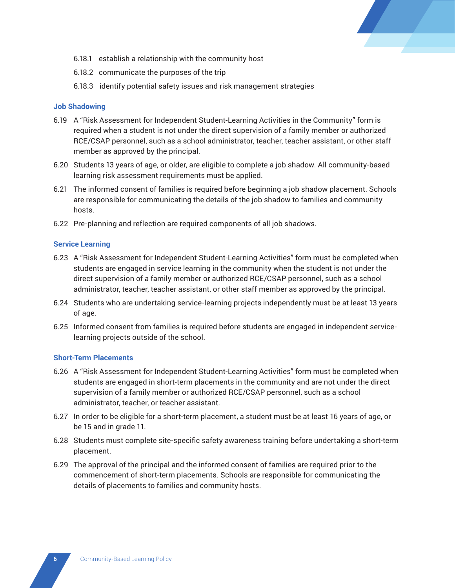

- 6.18.1 establish a relationship with the community host
- 6.18.2 communicate the purposes of the trip
- 6.18.3 identify potential safety issues and risk management strategies

### **Job Shadowing**

- 6.19 A "Risk Assessment for Independent Student-Learning Activities in the Community" form is required when a student is not under the direct supervision of a family member or authorized RCE/CSAP personnel, such as a school administrator, teacher, teacher assistant, or other staff member as approved by the principal.
- 6.20 Students 13 years of age, or older, are eligible to complete a job shadow. All community-based learning risk assessment requirements must be applied.
- 6.21 The informed consent of families is required before beginning a job shadow placement. Schools are responsible for communicating the details of the job shadow to families and community hosts.
- 6.22 Pre-planning and reflection are required components of all job shadows.

### **Service Learning**

- 6.23 A "Risk Assessment for Independent Student-Learning Activities" form must be completed when students are engaged in service learning in the community when the student is not under the direct supervision of a family member or authorized RCE/CSAP personnel, such as a school administrator, teacher, teacher assistant, or other staff member as approved by the principal.
- 6.24 Students who are undertaking service-learning projects independently must be at least 13 years of age.
- 6.25 Informed consent from families is required before students are engaged in independent servicelearning projects outside of the school.

#### **Short-Term Placements**

- 6.26 A "Risk Assessment for Independent Student-Learning Activities" form must be completed when students are engaged in short-term placements in the community and are not under the direct supervision of a family member or authorized RCE/CSAP personnel, such as a school administrator, teacher, or teacher assistant.
- 6.27 In order to be eligible for a short-term placement, a student must be at least 16 years of age, or be 15 and in grade 11.
- 6.28 Students must complete site-specific safety awareness training before undertaking a short-term placement.
- 6.29 The approval of the principal and the informed consent of families are required prior to the commencement of short-term placements. Schools are responsible for communicating the details of placements to families and community hosts.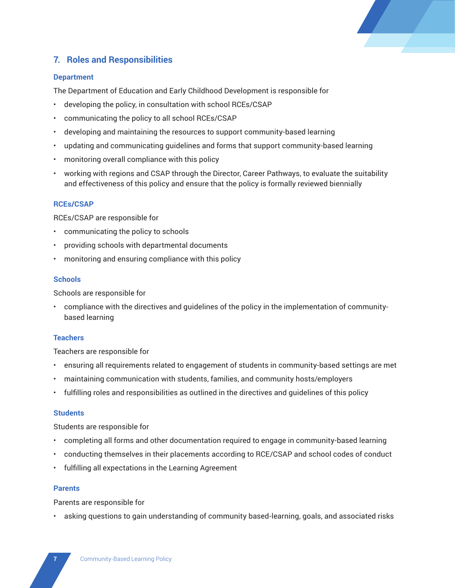

# **7. Roles and Responsibilities**

### **Department**

The Department of Education and Early Childhood Development is responsible for

- developing the policy, in consultation with school RCEs/CSAP
- communicating the policy to all school RCEs/CSAP
- developing and maintaining the resources to support community-based learning
- updating and communicating guidelines and forms that support community-based learning
- monitoring overall compliance with this policy
- working with regions and CSAP through the Director, Career Pathways, to evaluate the suitability and effectiveness of this policy and ensure that the policy is formally reviewed biennially

### **RCEs/CSAP**

RCEs/CSAP are responsible for

- communicating the policy to schools
- providing schools with departmental documents
- monitoring and ensuring compliance with this policy

#### **Schools**

Schools are responsible for

• compliance with the directives and guidelines of the policy in the implementation of communitybased learning

#### **Teachers**

Teachers are responsible for

- ensuring all requirements related to engagement of students in community-based settings are met
- maintaining communication with students, families, and community hosts/employers
- fulfilling roles and responsibilities as outlined in the directives and guidelines of this policy

### **Students**

Students are responsible for

- completing all forms and other documentation required to engage in community-based learning
- conducting themselves in their placements according to RCE/CSAP and school codes of conduct
- fulfilling all expectations in the Learning Agreement

### **Parents**

Parents are responsible for

• asking questions to gain understanding of community based-learning, goals, and associated risks